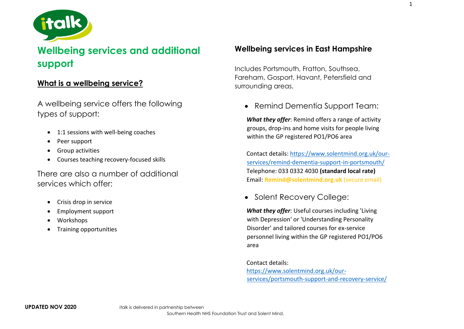

# **Wellbeing services and additional support**

# **What is a wellbeing service?**

A wellbeing service offers the following types of support:

- 1:1 sessions with well-being coaches
- Peer support
- Group activities
- Courses teaching recovery-focused skills

There are also a number of additional services which offer:

- Crisis drop in service
- Employment support
- Workshops
- Training opportunities

# **Wellbeing services in East Hampshire**

Includes Portsmouth, Fratton, Southsea, Fareham, Gosport, Havant, Petersfield and surrounding areas.

• Remind Dementia Support Team:

*What they offer*: Remind offers a range of activity groups, drop-ins and home visits for people living within the GP registered PO1/PO6 area

Contact details: [https://www.solentmind.org.uk/our](https://www.solentmind.org.uk/our-services/remind-dementia-support-in-portsmouth/)[services/remind-dementia-support-in-portsmouth/](https://www.solentmind.org.uk/our-services/remind-dementia-support-in-portsmouth/) Telephone: 033 0332 4030 **(standard local rate)** Email: **Remind@solentmind.org.uk** (secure email)

• Solent Recovery College:

*What they offer*: Useful courses including 'Living with Depression' or 'Understanding Personality Disorder' and tailored courses for ex-service personnel living within the GP registered PO1/PO6 area

Contact details: [https://www.solentmind.org.uk/our](https://www.solentmind.org.uk/our-services/portsmouth-support-and-recovery-service/)[services/portsmouth-support-and-recovery-service/](https://www.solentmind.org.uk/our-services/portsmouth-support-and-recovery-service/)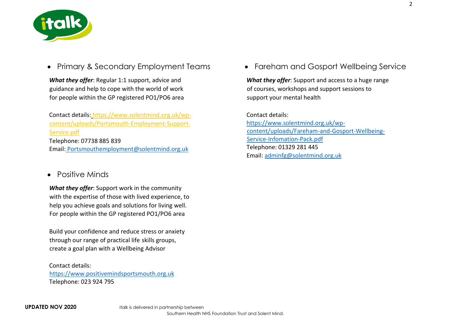

• Primary & Secondary Employment Teams

*What they offer*: Regular 1:1 support, advice and guidance and help to cope with the world of work for people within the GP registered PO1/PO6 area

Contact details: [https://www.solentmind.org.uk/wp](file://///sm-bc-adc-02/Data/IAPT/5%20Trainee%20PWPs/Sharon%20Armstrong/Solent%20Mind%20Matters/here%20ttps:/www.solentmind.org.uk/wp-content/uploads/Portsmouth-Employment-Support-Service.pdf)[content/uploads/Portsmouth-Employment-Support-](file://///sm-bc-adc-02/Data/IAPT/5%20Trainee%20PWPs/Sharon%20Armstrong/Solent%20Mind%20Matters/here%20ttps:/www.solentmind.org.uk/wp-content/uploads/Portsmouth-Employment-Support-Service.pdf)[Service.pdf](file://///sm-bc-adc-02/Data/IAPT/5%20Trainee%20PWPs/Sharon%20Armstrong/Solent%20Mind%20Matters/here%20ttps:/www.solentmind.org.uk/wp-content/uploads/Portsmouth-Employment-Support-Service.pdf)  Telephone: 07738 885 839 Email: [Portsmouthemployment@solentmind.org.uk](mailto:Portsmouthemployment@solentmind.org.uk)

### Positive Minds

*What they offer*: Support work in the community with the expertise of those with lived experience, to help you achieve goals and solutions for living well. For people within the GP registered PO1/PO6 area

Build your confidence and reduce stress or anxiety through our range of practical life skills groups, create a goal plan with a Wellbeing Advisor

#### Contact details: https://www.positivemindsportsmouth.org.uk Telephone: 023 924 795

• Fareham and Gosport Wellbeing Service

*What they offer*: Support and access to a huge range of courses, workshops and support sessions to support your mental health

Contact details: [https://www.solentmind.org.uk/wp](https://www.solentmind.org.uk/wp-content/uploads/Fareham-and-Gosport-Wellbeing-Service-Infomation-Pack.pdf)[content/uploads/Fareham-and-Gosport-Wellbeing-](https://www.solentmind.org.uk/wp-content/uploads/Fareham-and-Gosport-Wellbeing-Service-Infomation-Pack.pdf)[Service-Infomation-Pack.pdf](https://www.solentmind.org.uk/wp-content/uploads/Fareham-and-Gosport-Wellbeing-Service-Infomation-Pack.pdf) Telephone: 01329 281 445 Email: [adminfg@solentmind.org.uk](mailto:adminfg@solentmind.org.uk)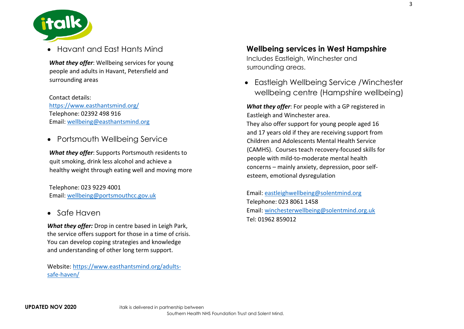

Havant and East Hants Mind

*What they offer*: Wellbeing services for young people and adults in Havant, Petersfield and surrounding areas

Contact details: <https://www.easthantsmind.org/> Telephone: 02392 498 916 Email: [wellbeing@easthantsmind.org](mailto:wellbeing@easthantsmind.org)

Portsmouth Wellbeing Service

*What they offer*: Supports Portsmouth residents to quit smoking, drink less alcohol and achieve a healthy weight through eating well and moving more

Telephone: 023 9229 4001 Email: [wellbeing@portsmouthcc.gov.uk](mailto:wellbeing@portsmouthcc.gov.uk)

• Safe Haven

*What they offer:* Drop in centre based in Leigh Park, the service offers support for those in a time of crisis. You can develop coping strategies and knowledge and understanding of other long term support.

Website: [https://www.easthantsmind.org/adults](https://www.easthantsmind.org/adults-safe-haven/)[safe-haven/](https://www.easthantsmind.org/adults-safe-haven/)

**Wellbeing services in West Hampshire** Includes Eastleigh, Winchester and surrounding areas.

 Eastleigh Wellbeing Service /Winchester wellbeing centre (Hampshire wellbeing)

*What they offer*: For people with a GP registered in Eastleigh and Winchester area. They also offer support for young people aged 16 and 17 years old if they are receiving support from Children and Adolescents Mental Health Service (CAMHS). Courses teach recovery-focused skills for people with mild-to-moderate mental health concerns – mainly anxiety, depression, poor selfesteem, emotional dysregulation

Email: [eastleighwellbeing@solentmind.org](mailto:eastleighwellbeing@solentmind.org) Telephone: 023 8061 1458 Email: [winchesterwellbeing@solentmind.org.uk](mailto:winchesterwellbeing@solentmind.org.uk) Tel: 01962 859012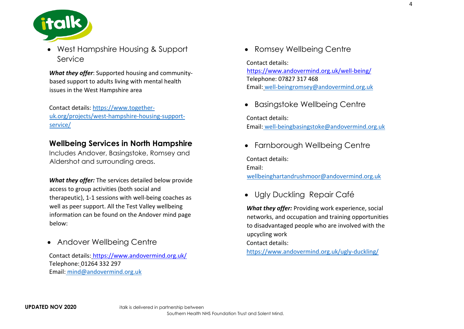

 West Hampshire Housing & Support Service

*What they offer*: Supported housing and communitybased support to adults living with mental health issues in the West Hampshire area

Contact details: [https://www.together](https://www.together-uk.org/projects/west-hampshire-housing-support-service/)[uk.org/projects/west-hampshire-housing-support](https://www.together-uk.org/projects/west-hampshire-housing-support-service/)[service/](https://www.together-uk.org/projects/west-hampshire-housing-support-service/)

### **Wellbeing Services in North Hampshire**

Includes Andover, Basingstoke, Romsey and Aldershot and surrounding areas.

*What they offer:* The services detailed below provide access to group activities (both social and therapeutic), 1-1 sessions with well-being coaches as well as peer support. All the Test Valley wellbeing information can be found on the Andover mind page below:

• Andover Wellbeing Centre

Contact details: <https://www.andovermind.org.uk/> Telephone: 01264 332 297 Email: [mind@andovermind.org.uk](mailto:mind@andovermind.org.uk)

• Romsey Wellbeing Centre

Contact details: <https://www.andovermind.org.uk/well-being/> Telephone: 07827 317 468 Email: [well-beingromsey@andovermind.org.uk](mailto:well-beingromsey@andovermind.org.uk)

• Basingstoke Wellbeing Centre

Contact details: Email: [well-beingbasingstoke@andovermind.org.uk](mailto:well-beingbasingstoke@andovermind.org.uk)

• Farnborough Wellbeing Centre

Contact details:

Email:

[wellbeinghartandrushmoor@andovermind.org.uk](mailto:wellbeinghartandrushmoor@andovermind.org.uk)

Ugly Duckling Repair Café

*What they offer:* Providing work experience, social networks, and occupation and training opportunities to disadvantaged people who are involved with the upcycling work Contact details: <https://www.andovermind.org.uk/ugly-duckling/>

4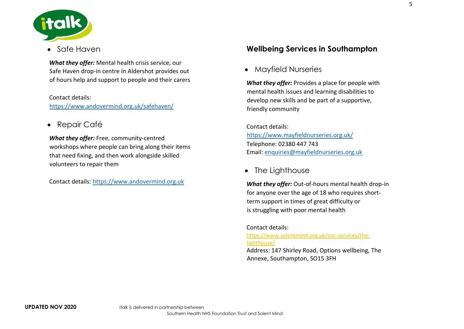

### Safe Haven

*What they offer:* Mental health crisis service, our Safe Haven drop-in centre in Aldershot provides out of hours help and support to people and their carers

Contact details: <https://www.andovermind.org.uk/safehaven/>

Repair Café

*What they offer:* Free, community-centred workshops where people can bring along their items that need fixing, and then work alongside skilled volunteers to repair them

Contact details: [https://www.andovermind.org.uk](https://www.andovermind.org.uk/)

# **Wellbeing Services in Southampton**

Mayfield Nurseries

*What they offer:* Provides a place for people with mental health issues and learning disabilities to develop new skills and be part of a supportive, friendly community

Contact details: <https://www.mayfieldnurseries.org.uk/> Telephone: 02380 447 743 Email: [enquiries@mayfieldnurseries.org.uk](mailto:enquiries@mayfieldnurseries.org.uk)

• The Lighthouse

*What they offer:* Out-of-hours mental health drop-in for anyone over the age of 18 who requires shortterm support in times of great difficulty or is struggling with poor mental health

Contact details: [https://www.solentmind.org.uk/our-services/the](https://www.solentmind.org.uk/our-services/the-lighthouse/)[lighthouse/](https://www.solentmind.org.uk/our-services/the-lighthouse/)

Address: 147 Shirley Road, Options wellbeing, The Annexe, Southampton, SO15 3FH